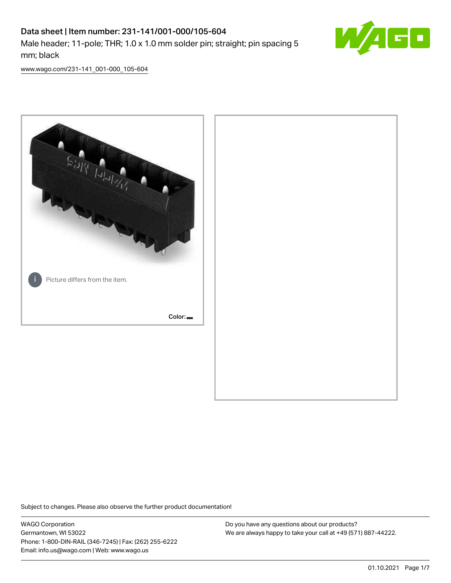# Data sheet | Item number: 231-141/001-000/105-604 Male header; 11-pole; THR; 1.0 x 1.0 mm solder pin; straight; pin spacing 5 mm; black



[www.wago.com/231-141\\_001-000\\_105-604](http://www.wago.com/231-141_001-000_105-604)



Subject to changes. Please also observe the further product documentation!

WAGO Corporation Germantown, WI 53022 Phone: 1-800-DIN-RAIL (346-7245) | Fax: (262) 255-6222 Email: info.us@wago.com | Web: www.wago.us

Do you have any questions about our products? We are always happy to take your call at +49 (571) 887-44222.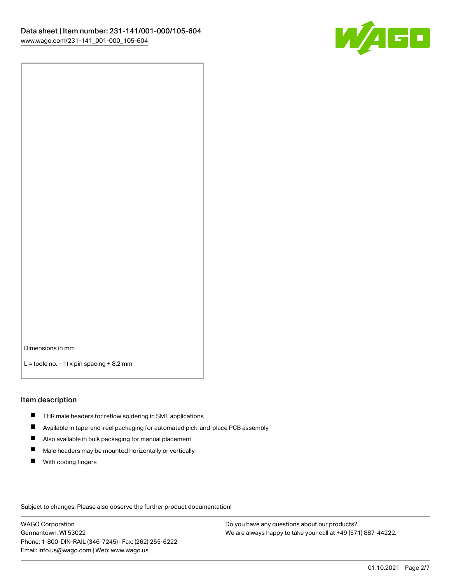

Dimensions in mm

 $L =$  (pole no.  $-1$ ) x pin spacing  $+8.2$  mm

#### Item description

- **THR** male headers for reflow soldering in SMT applications
- $\blacksquare$ Available in tape-and-reel packaging for automated pick-and-place PCB assembly
- $\blacksquare$ Also available in bulk packaging for manual placement
- $\blacksquare$ Male headers may be mounted horizontally or vertically
- **With coding fingers**

Subject to changes. Please also observe the further product documentation!

WAGO Corporation Germantown, WI 53022 Phone: 1-800-DIN-RAIL (346-7245) | Fax: (262) 255-6222 Email: info.us@wago.com | Web: www.wago.us

Do you have any questions about our products? We are always happy to take your call at +49 (571) 887-44222.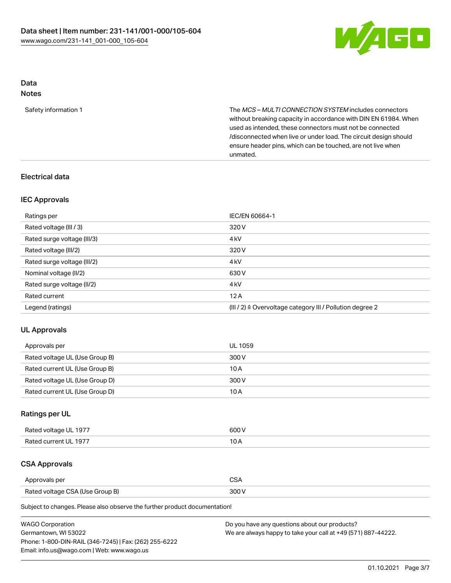

# Data

# Notes

| Safety information 1 | The <i>MCS – MULTI CONNECTION SYSTEM</i> includes connectors     |
|----------------------|------------------------------------------------------------------|
|                      | without breaking capacity in accordance with DIN EN 61984. When  |
|                      | used as intended, these connectors must not be connected         |
|                      | /disconnected when live or under load. The circuit design should |
|                      | ensure header pins, which can be touched, are not live when      |
|                      | unmated.                                                         |

# Electrical data

# IEC Approvals

| Ratings per                 | IEC/EN 60664-1                                                        |
|-----------------------------|-----------------------------------------------------------------------|
| Rated voltage (III / 3)     | 320 V                                                                 |
| Rated surge voltage (III/3) | 4 <sub>k</sub> V                                                      |
| Rated voltage (III/2)       | 320 V                                                                 |
| Rated surge voltage (III/2) | 4 <sub>k</sub> V                                                      |
| Nominal voltage (II/2)      | 630 V                                                                 |
| Rated surge voltage (II/2)  | 4 <sub>k</sub> V                                                      |
| Rated current               | 12A                                                                   |
| Legend (ratings)            | $(III / 2)$ $\triangle$ Overvoltage category III / Pollution degree 2 |

# UL Approvals

| Approvals per                  | UL 1059 |
|--------------------------------|---------|
| Rated voltage UL (Use Group B) | 300 V   |
| Rated current UL (Use Group B) | 10 A    |
| Rated voltage UL (Use Group D) | 300 V   |
| Rated current UL (Use Group D) | 10 A    |

# Ratings per UL

| Rated voltage UL 1977 | 600 V |
|-----------------------|-------|
| Rated current UL 1977 | 10 A  |

# CSA Approvals

| Approvals per                   | $\sim$ |
|---------------------------------|--------|
| Rated voltage CSA (Use Group B) | 300 V  |

Subject to changes. Please also observe the further product documentation!

| <b>WAGO Corporation</b>                                | Do you have any questions about our products?                 |
|--------------------------------------------------------|---------------------------------------------------------------|
| Germantown, WI 53022                                   | We are always happy to take your call at +49 (571) 887-44222. |
| Phone: 1-800-DIN-RAIL (346-7245)   Fax: (262) 255-6222 |                                                               |
| Email: info.us@wago.com   Web: www.wago.us             |                                                               |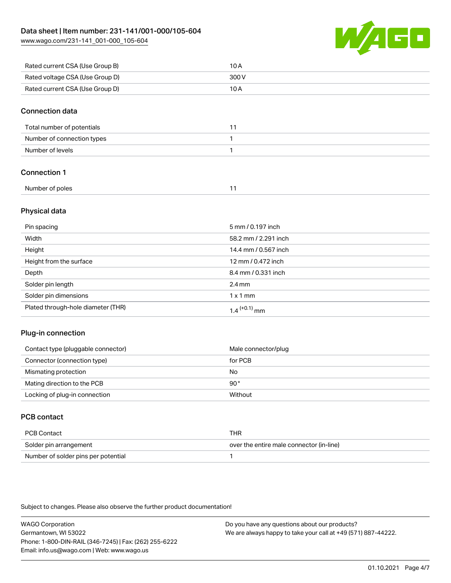

| Rated current CSA (Use Group B) | 10 A  |
|---------------------------------|-------|
| Rated voltage CSA (Use Group D) | 300 V |
| Rated current CSA (Use Group D) | 10 A  |

### Connection data

| Total number of potentials |  |
|----------------------------|--|
| Number of connection types |  |
| Number of levels           |  |

# Connection 1

| Number of poles |  |
|-----------------|--|
|                 |  |

# Physical data

| Pin spacing                        | 5 mm / 0.197 inch          |
|------------------------------------|----------------------------|
| Width                              | 58.2 mm / 2.291 inch       |
| Height                             | 14.4 mm / 0.567 inch       |
| Height from the surface            | 12 mm / 0.472 inch         |
| Depth                              | 8.4 mm / 0.331 inch        |
| Solder pin length                  | $2.4 \text{ mm}$           |
| Solder pin dimensions              | $1 \times 1$ mm            |
| Plated through-hole diameter (THR) | $1.4$ <sup>(+0.1)</sup> mm |

# Plug-in connection

| Male connector/plug |
|---------------------|
|                     |
|                     |
|                     |
|                     |
|                     |

# PCB contact

| PCB Contact                         | THR                                      |
|-------------------------------------|------------------------------------------|
| Solder pin arrangement              | over the entire male connector (in-line) |
| Number of solder pins per potential |                                          |

Subject to changes. Please also observe the further product documentation!

WAGO Corporation Germantown, WI 53022 Phone: 1-800-DIN-RAIL (346-7245) | Fax: (262) 255-6222 Email: info.us@wago.com | Web: www.wago.us Do you have any questions about our products? We are always happy to take your call at +49 (571) 887-44222.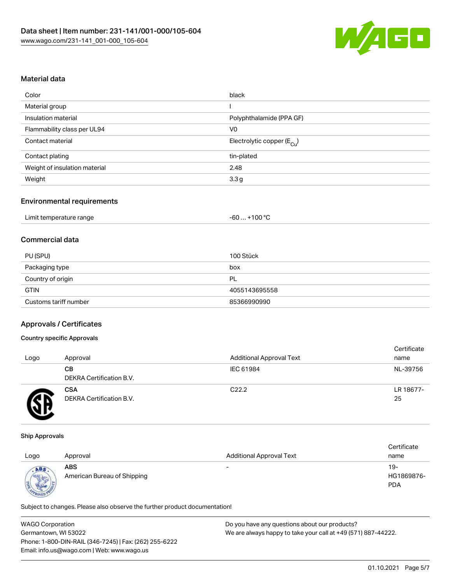

# Material data

| Color                         | black                                  |
|-------------------------------|----------------------------------------|
| Material group                |                                        |
| Insulation material           | Polyphthalamide (PPA GF)               |
| Flammability class per UL94   | V0                                     |
| Contact material              | Electrolytic copper (E <sub>Cu</sub> ) |
| Contact plating               | tin-plated                             |
| Weight of insulation material | 2.48                                   |
| Weight                        | 3.3 <sub>g</sub>                       |
|                               |                                        |

#### Environmental requirements

| Limit temperature range | $+100 °C$<br>-60 |
|-------------------------|------------------|
|-------------------------|------------------|

# Commercial data

| PU (SPU)              | 100 Stück     |
|-----------------------|---------------|
| Packaging type        | box           |
| Country of origin     | PL            |
| <b>GTIN</b>           | 4055143695558 |
| Customs tariff number | 85366990990   |

# Approvals / Certificates

#### Country specific Approvals

| Logo | Approval                               | <b>Additional Approval Text</b> | Certificate<br>name |
|------|----------------------------------------|---------------------------------|---------------------|
|      | CВ<br><b>DEKRA Certification B.V.</b>  | IEC 61984                       | NL-39756            |
|      | <b>CSA</b><br>DEKRA Certification B.V. | C <sub>22.2</sub>               | LR 18677-<br>25     |

#### Ship Approvals

| Logo                     | Approval                                  | <b>Additional Approval Text</b> | Certificate<br>name             |
|--------------------------|-------------------------------------------|---------------------------------|---------------------------------|
| ABS<br><b>CONTRACTOR</b> | <b>ABS</b><br>American Bureau of Shipping | $\overline{\phantom{0}}$        | 19-<br>HG1869876-<br><b>PDA</b> |

Subject to changes. Please also observe the further product documentation!

| <b>WAGO Corporation</b>                                | Do you have any questions about our products?                 |
|--------------------------------------------------------|---------------------------------------------------------------|
| Germantown, WI 53022                                   | We are always happy to take your call at +49 (571) 887-44222. |
| Phone: 1-800-DIN-RAIL (346-7245)   Fax: (262) 255-6222 |                                                               |
| Email: info.us@wago.com   Web: www.wago.us             |                                                               |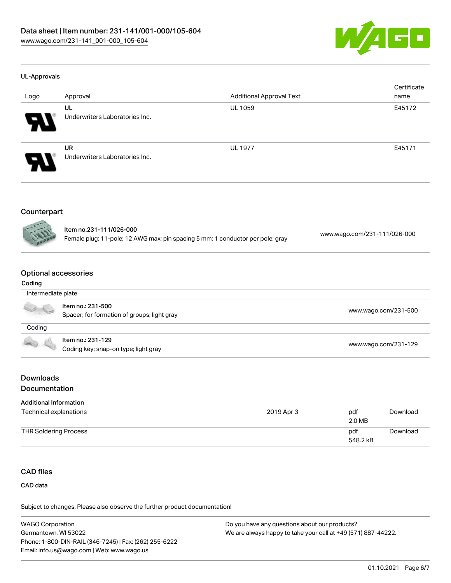

#### UL-Approvals

| Logo                  | Approval                                    | <b>Additional Approval Text</b> | Certificate<br>name |
|-----------------------|---------------------------------------------|---------------------------------|---------------------|
| $\boldsymbol{\theta}$ | UL<br>Underwriters Laboratories Inc.        | <b>UL 1059</b>                  | E45172              |
| $\boldsymbol{\theta}$ | <b>UR</b><br>Underwriters Laboratories Inc. | <b>UL 1977</b>                  | E45171              |

# Counterpart



| ltem no.231-111/026-000                                                        |                              |
|--------------------------------------------------------------------------------|------------------------------|
| Female plug; 11-pole; 12 AWG max; pin spacing 5 mm; 1 conductor per pole; gray | www.wago.com/231-111/026-000 |

# Optional accessories

#### Coding

| Intermediate plate |                                                                  |                      |
|--------------------|------------------------------------------------------------------|----------------------|
|                    | Item no.: 231-500<br>Spacer; for formation of groups; light gray | www.wago.com/231-500 |
| Coding             |                                                                  |                      |
| 100                | Item no.: 231-129<br>Coding key; snap-on type; light gray        | www.wago.com/231-129 |

# Downloads

# **Documentation**

| <b>Additional Information</b> |            |               |          |
|-------------------------------|------------|---------------|----------|
| Technical explanations        | 2019 Apr 3 | pdf<br>2.0 MB | Download |
| THR Soldering Process         |            | pdf           | Download |
|                               |            | 548.2 kB      |          |

# CAD files

CAD data

Subject to changes. Please also observe the further product documentation!

| <b>WAGO Corporation</b>                                | Do you have any questions about our products?                 |
|--------------------------------------------------------|---------------------------------------------------------------|
| Germantown, WI 53022                                   | We are always happy to take your call at +49 (571) 887-44222. |
| Phone: 1-800-DIN-RAIL (346-7245)   Fax: (262) 255-6222 |                                                               |
| Email: info.us@wago.com   Web: www.wago.us             |                                                               |